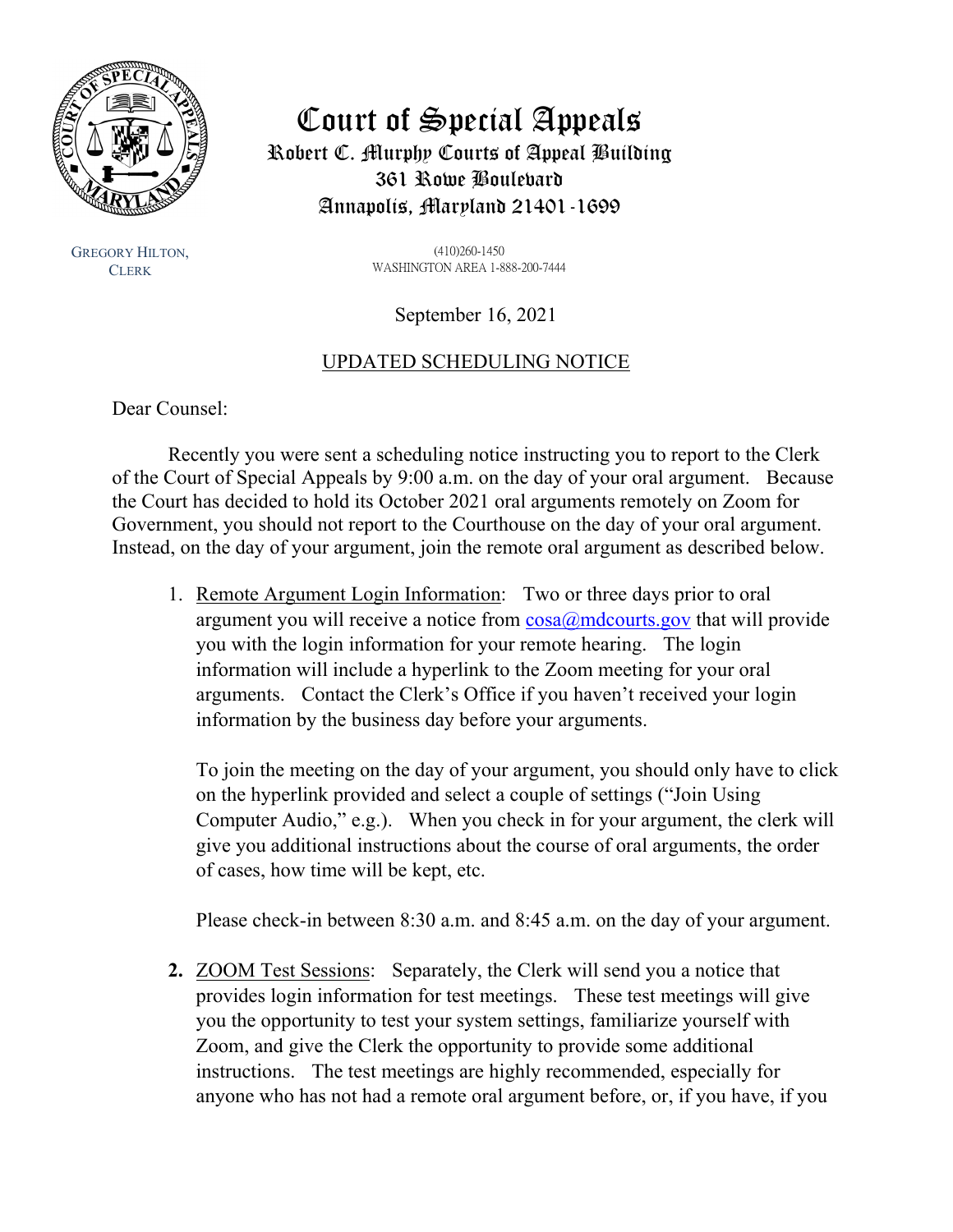

GREGORY HILTON, **CLERK** 

# Court of Special Appeals Robert C. Murphy Courts of Appeal Building 361 Rowe Boulevard Annapolis, Maryland 21401-1699

(410)260-1450 WASHINGTON AREA 1-888-200-7444

September 16, 2021

# UPDATED SCHEDULING NOTICE

Dear Counsel:

Recently you were sent a scheduling notice instructing you to report to the Clerk of the Court of Special Appeals by 9:00 a.m. on the day of your oral argument. Because the Court has decided to hold its October 2021 oral arguments remotely on Zoom for Government, you should not report to the Courthouse on the day of your oral argument. Instead, on the day of your argument, join the remote oral argument as described below.

1. Remote Argument Login Information: Two or three days prior to oral argument you will receive a notice from  $cosa(\omega)$ mdcourts.gov that will provide you with the login information for your remote hearing. The login information will include a hyperlink to the Zoom meeting for your oral arguments. Contact the Clerk's Office if you haven't received your login information by the business day before your arguments.

To join the meeting on the day of your argument, you should only have to click on the hyperlink provided and select a couple of settings ("Join Using Computer Audio," e.g.). When you check in for your argument, the clerk will give you additional instructions about the course of oral arguments, the order of cases, how time will be kept, etc.

Please check-in between 8:30 a.m. and 8:45 a.m. on the day of your argument.

**2.** ZOOM Test Sessions: Separately, the Clerk will send you a notice that provides login information for test meetings. These test meetings will give you the opportunity to test your system settings, familiarize yourself with Zoom, and give the Clerk the opportunity to provide some additional instructions. The test meetings are highly recommended, especially for anyone who has not had a remote oral argument before, or, if you have, if you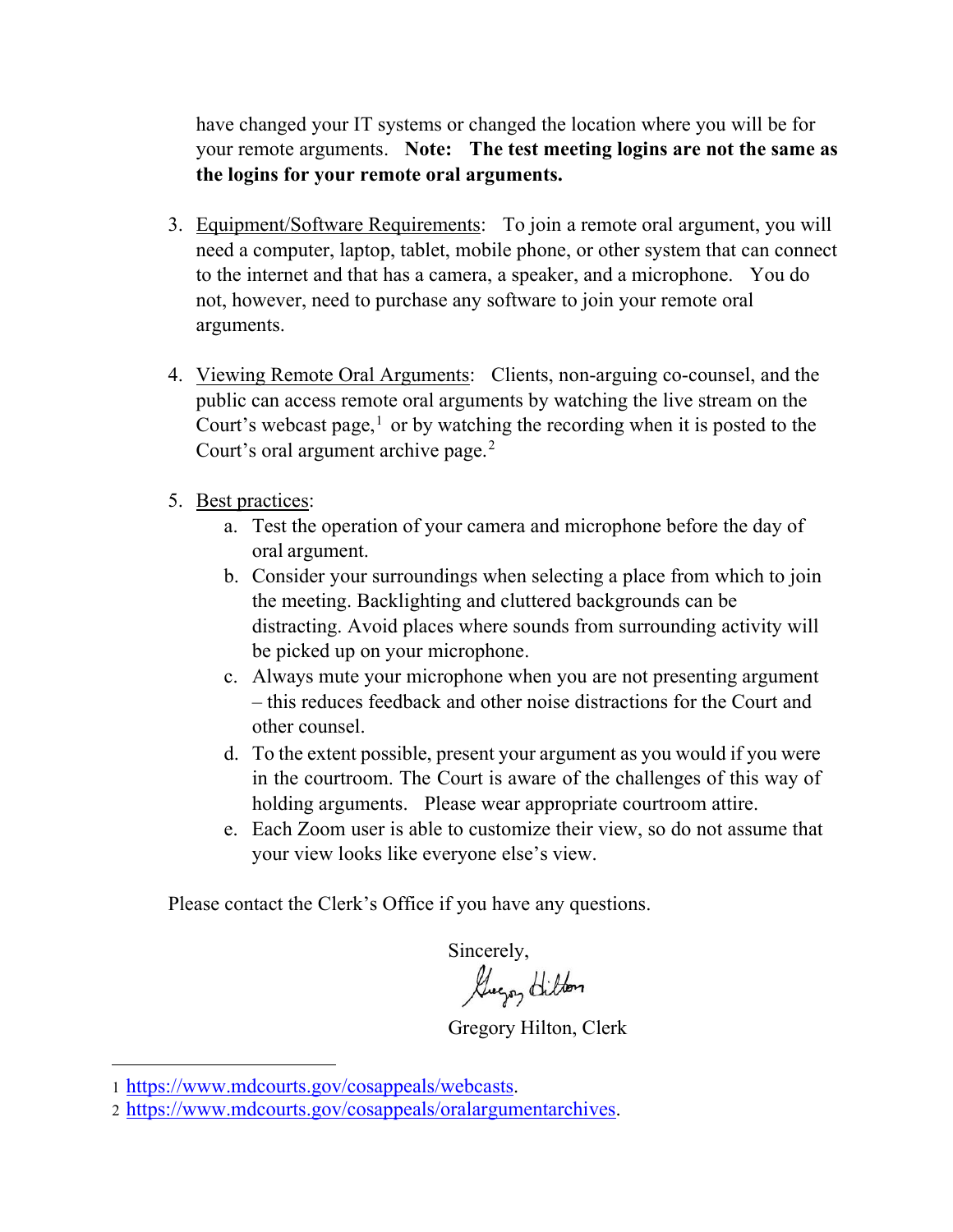have changed your IT systems or changed the location where you will be for your remote arguments. **Note: The test meeting logins are not the same as the logins for your remote oral arguments.**

- 3. Equipment/Software Requirements: To join a remote oral argument, you will need a computer, laptop, tablet, mobile phone, or other system that can connect to the internet and that has a camera, a speaker, and a microphone. You do not, however, need to purchase any software to join your remote oral arguments.
- 4. Viewing Remote Oral Arguments: Clients, non-arguing co-counsel, and the public can access remote oral arguments by watching the live stream on the Court's webcast page, $<sup>1</sup>$  $<sup>1</sup>$  $<sup>1</sup>$  or by watching the recording when it is posted to the</sup> Court's oral argument archive page.<sup>[2](#page-1-1)</sup>
- 5. Best practices:
	- a. Test the operation of your camera and microphone before the day of oral argument.
	- b. Consider your surroundings when selecting a place from which to join the meeting. Backlighting and cluttered backgrounds can be distracting. Avoid places where sounds from surrounding activity will be picked up on your microphone.
	- c. Always mute your microphone when you are not presenting argument – this reduces feedback and other noise distractions for the Court and other counsel.
	- d. To the extent possible, present your argument as you would if you were in the courtroom. The Court is aware of the challenges of this way of holding arguments. Please wear appropriate courtroom attire.
	- e. Each Zoom user is able to customize their view, so do not assume that your view looks like everyone else's view.

Please contact the Clerk's Office if you have any questions.

Sincerely,

Guegos Hilton

Gregory Hilton, Clerk

<span id="page-1-0"></span><sup>1</sup> [https://www.mdcourts.gov/cosappeals/webcasts.](https://www.mdcourts.gov/cosappeals/webcasts)

<span id="page-1-1"></span><sup>2</sup> [https://www.mdcourts.gov/cosappeals/oralargumentarchives.](https://www.mdcourts.gov/cosappeals/oralargumentarchives)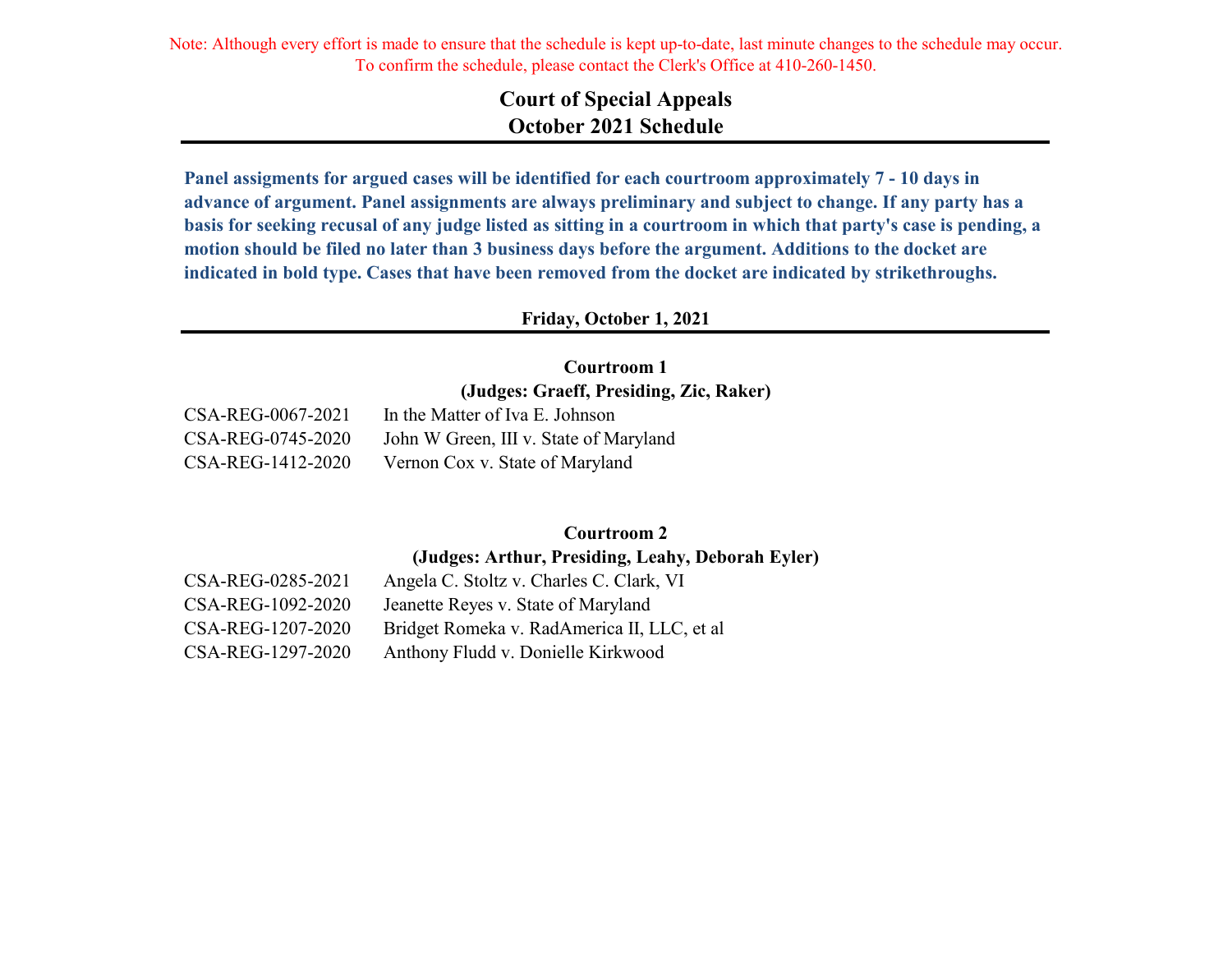# **Court of Special Appeals October 2021 Schedule**

**Panel assigments for argued cases will be identified for each courtroom approximately 7 - 10 days in advance of argument. Panel assignments are always preliminary and subject to change. If any party has a basis for seeking recusal of any judge listed as sitting in a courtroom in which that party's case is pending, a motion should be filed no later than 3 business days before the argument. Additions to the docket are indicated in bold type. Cases that have been removed from the docket are indicated by strikethroughs.**

### **Friday, October 1, 2021**

**Courtroom 1 (Judges: Graeff, Presiding, Zic, Raker)**

| CSA-REG-0067-2021 | In the Matter of Iva E. Johnson        |
|-------------------|----------------------------------------|
| CSA-REG-0745-2020 | John W Green, III v. State of Maryland |
| CSA-REG-1412-2020 | Vernon Cox v. State of Maryland        |

### **Courtroom 2**

### **(Judges: Arthur, Presiding, Leahy, Deborah Eyler)**

| CSA-REG-0285-2021 | Angela C. Stoltz v. Charles C. Clark, VI    |
|-------------------|---------------------------------------------|
| CSA-REG-1092-2020 | Jeanette Reyes v. State of Maryland         |
| CSA-REG-1207-2020 | Bridget Romeka v. RadAmerica II, LLC, et al |
| CSA-REG-1297-2020 | Anthony Fludd v. Donielle Kirkwood          |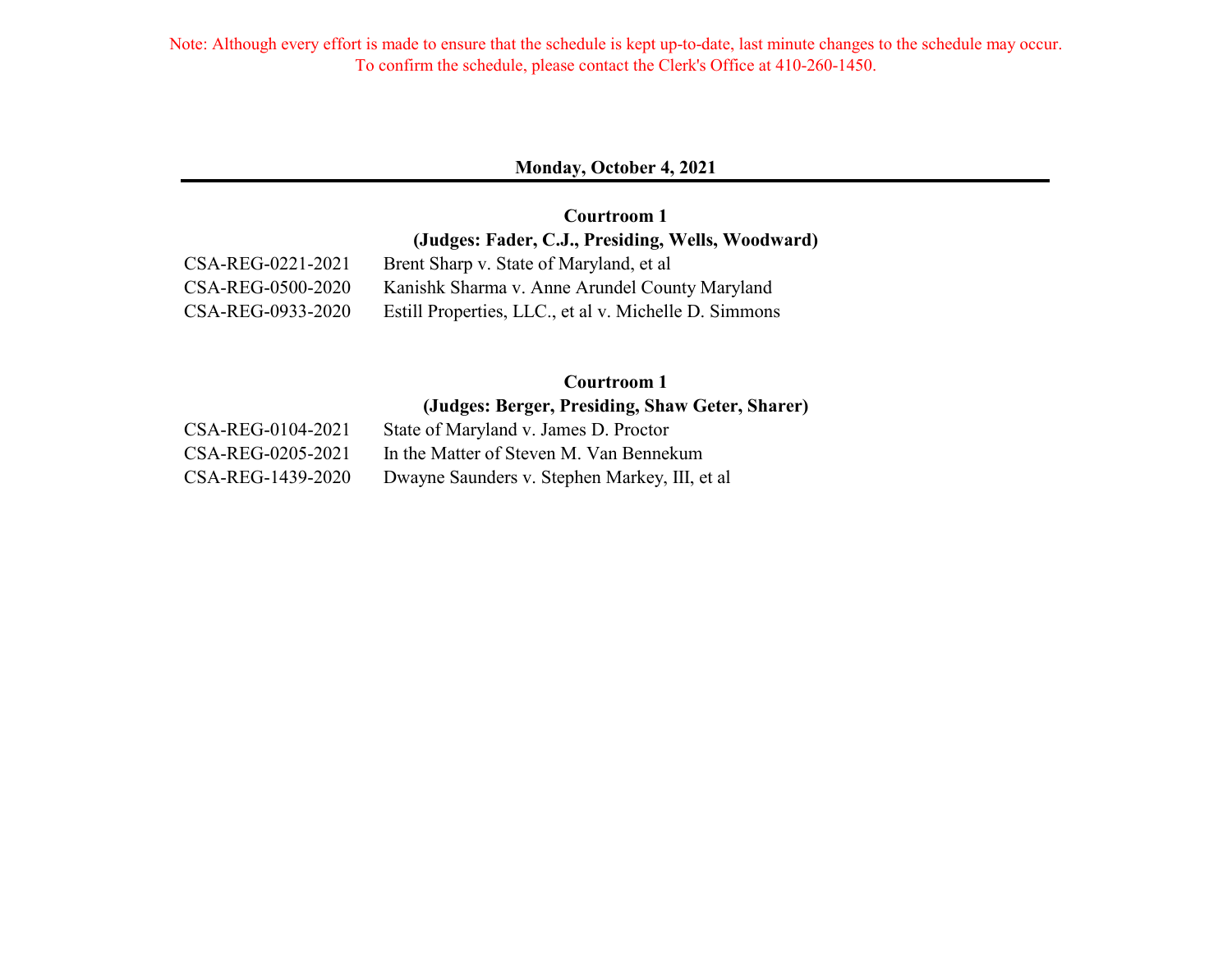### **Monday, October 4, 2021**

# **(Judges: Fader, C.J., Presiding, Wells, Woodward) Courtroom 1**

| CSA-REG-0221-2021 | Brent Sharp v. State of Maryland, et al               |
|-------------------|-------------------------------------------------------|
| CSA-REG-0500-2020 | Kanishk Sharma v. Anne Arundel County Maryland        |
| CSA-REG-0933-2020 | Estill Properties, LLC., et al v. Michelle D. Simmons |

# **Courtroom 1**

# **(Judges: Berger, Presiding, Shaw Geter, Sharer)**

| CSA-REG-0104-2021 | State of Maryland v. James D. Proctor         |
|-------------------|-----------------------------------------------|
| CSA-REG-0205-2021 | In the Matter of Steven M. Van Bennekum       |
| CSA-REG-1439-2020 | Dwayne Saunders v. Stephen Markey, III, et al |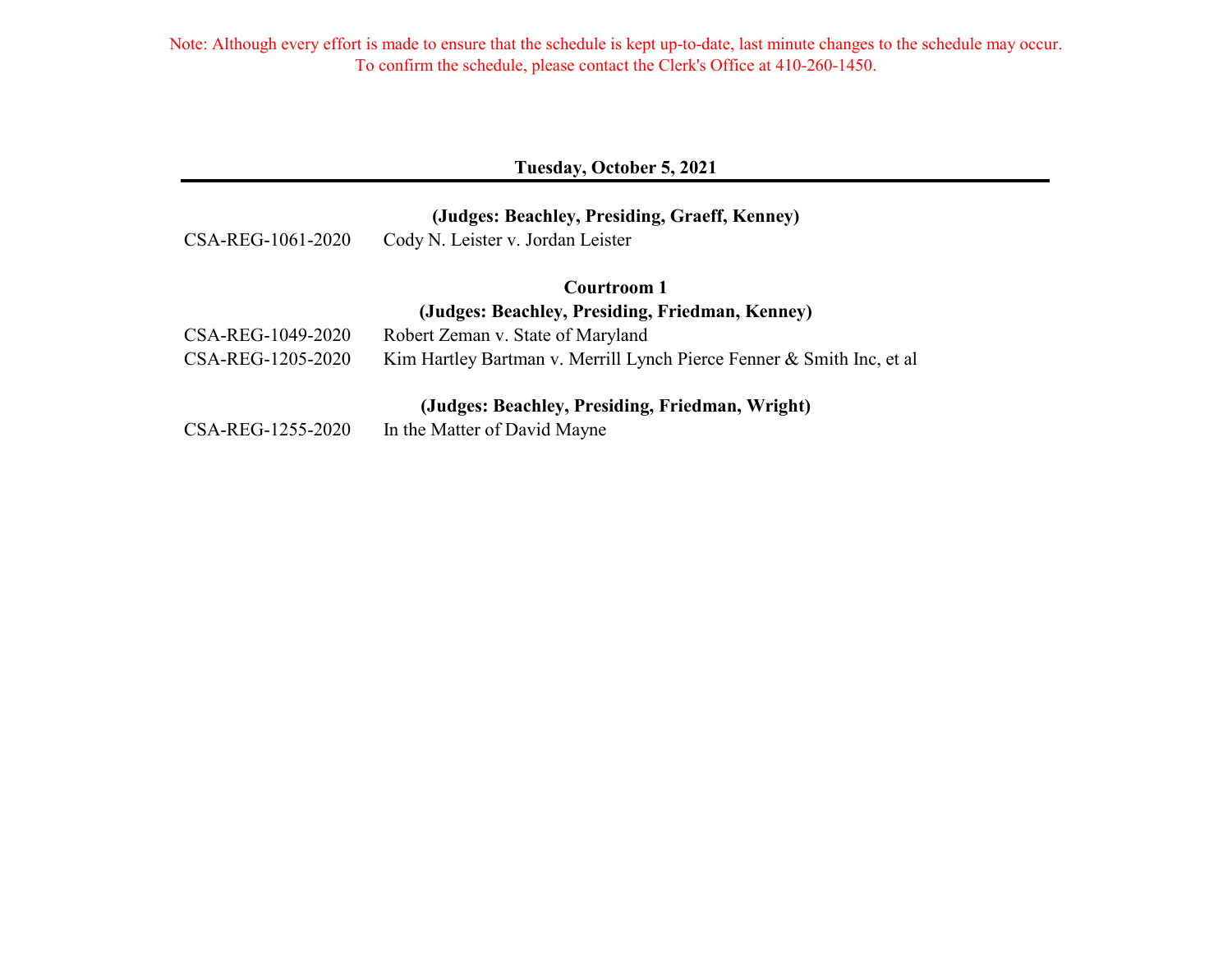## **Tuesday, October 5, 2021**

|                   | (Judges: Beachley, Presiding, Graeff, Kenney)                         |
|-------------------|-----------------------------------------------------------------------|
| CSA-REG-1061-2020 | Cody N. Leister v. Jordan Leister                                     |
|                   | Courtroom 1                                                           |
|                   | (Judges: Beachley, Presiding, Friedman, Kenney)                       |
| CSA-REG-1049-2020 | Robert Zeman v. State of Maryland                                     |
| CSA-REG-1205-2020 | Kim Hartley Bartman v. Merrill Lynch Pierce Fenner & Smith Inc, et al |
|                   | (Judges: Beachley, Presiding, Friedman, Wright)                       |
| CSA-REG-1255-2020 | In the Matter of David Mayne                                          |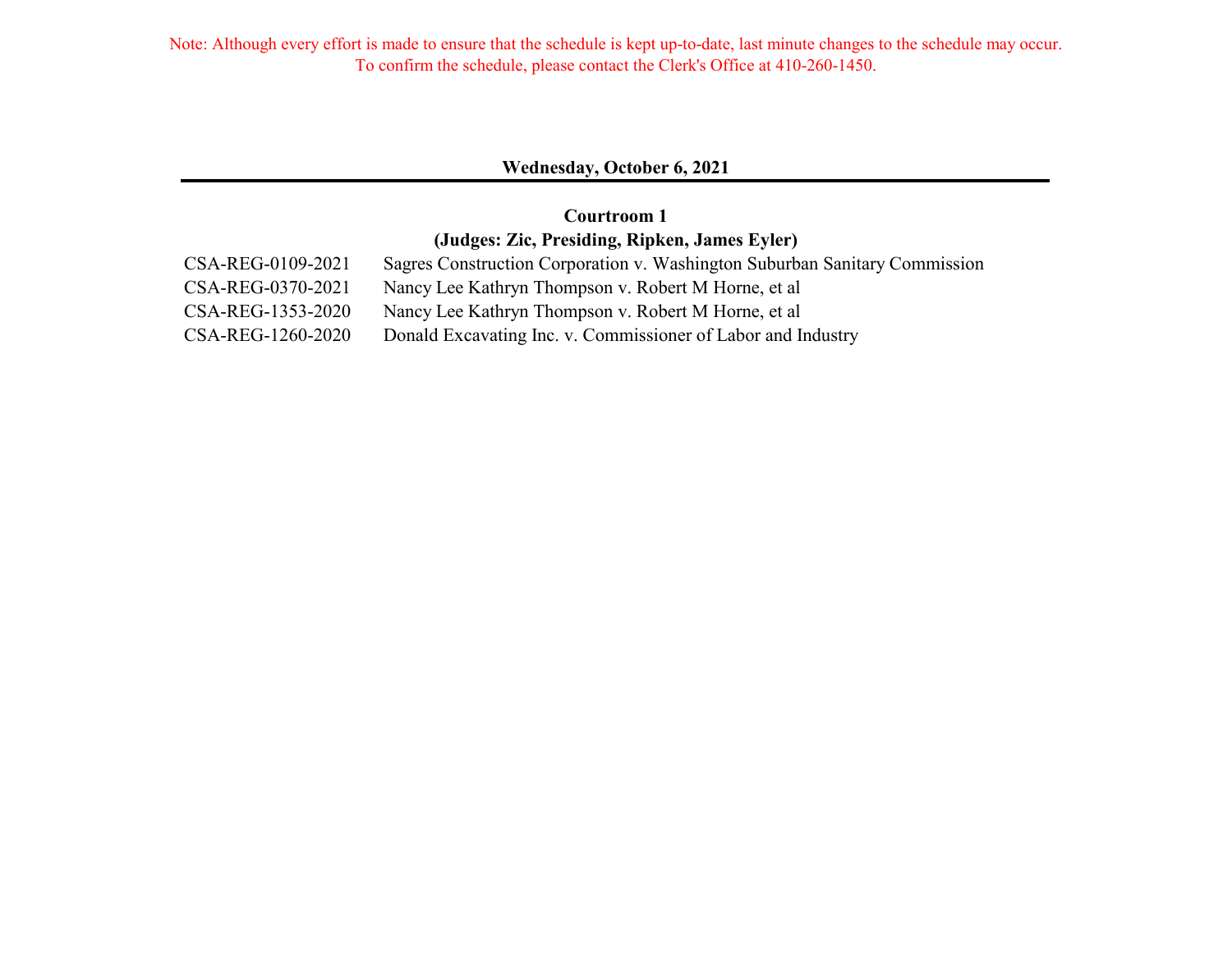## **Wednesday, October 6, 2021**

# **Courtroom 1 (Judges: Zic, Presiding, Ripken, James Eyler)**

| CSA-REG-0109-2021 | Sagres Construction Corporation v. Washington Suburban Sanitary Commission |
|-------------------|----------------------------------------------------------------------------|
| CSA-REG-0370-2021 | Nancy Lee Kathryn Thompson v. Robert M Horne, et al                        |
| CSA-REG-1353-2020 | Nancy Lee Kathryn Thompson v. Robert M Horne, et al                        |
| CSA-REG-1260-2020 | Donald Excavating Inc. v. Commissioner of Labor and Industry               |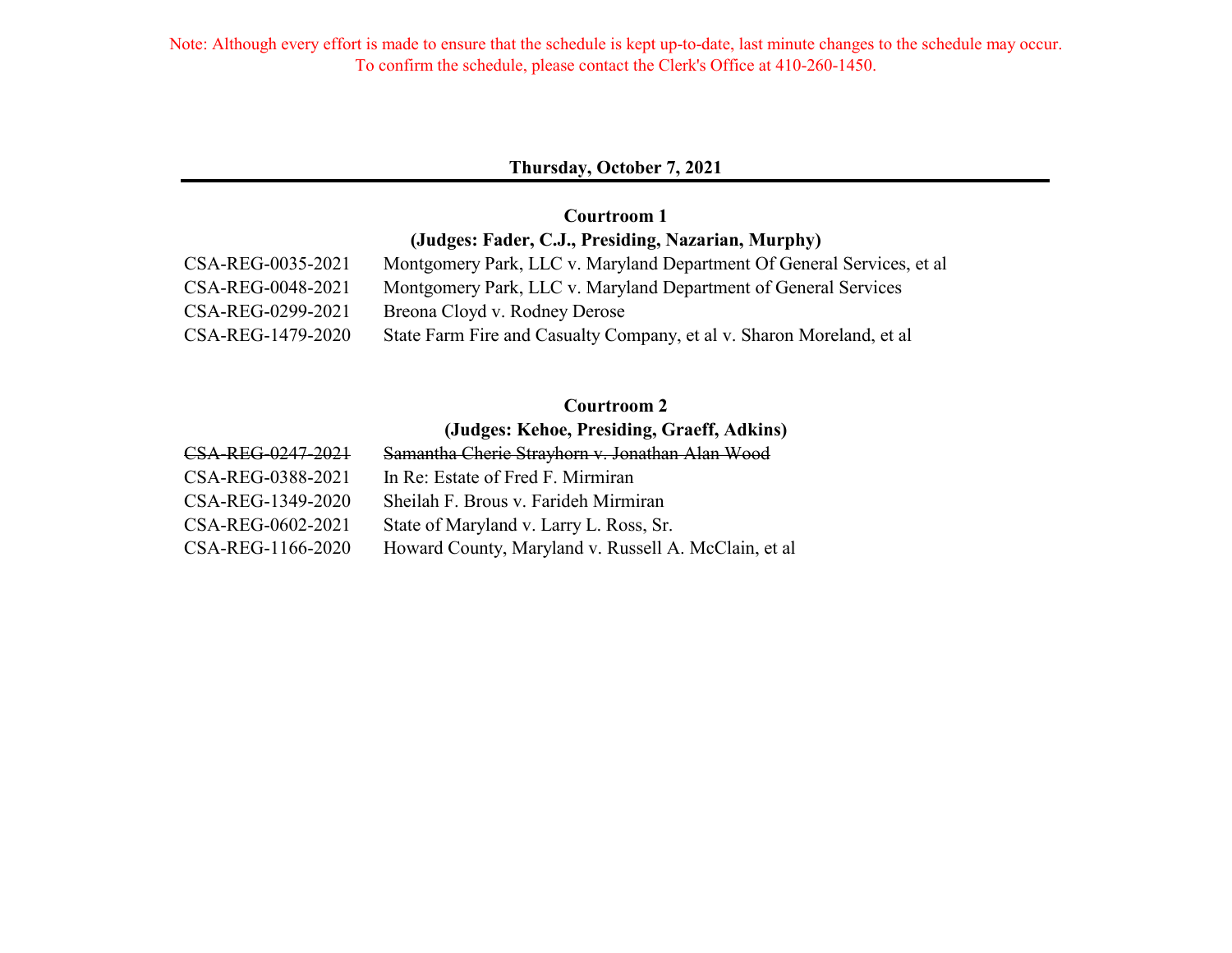### **Thursday, October 7, 2021**

# **Courtroom 1**

# **(Judges: Fader, C.J., Presiding, Nazarian, Murphy)**

| CSA-REG-0035-2021 | Montgomery Park, LLC v. Maryland Department Of General Services, et al |
|-------------------|------------------------------------------------------------------------|
| CSA-REG-0048-2021 | Montgomery Park, LLC v. Maryland Department of General Services        |
| CSA-REG-0299-2021 | Breona Cloyd v. Rodney Derose                                          |
| CSA-REG-1479-2020 | State Farm Fire and Casualty Company, et al v. Sharon Moreland, et al  |

# **Courtroom 2**

### **(Judges: Kehoe, Presiding, Graeff, Adkins)**

| CSA-REG-0247-2021 | Samantha Cherie Strayhorn v. Jonathan Alan Wood      |
|-------------------|------------------------------------------------------|
| CSA-REG-0388-2021 | In Re: Estate of Fred F. Mirmiran                    |
| CSA-REG-1349-2020 | Sheilah F. Brous v. Farideh Mirmiran                 |
| CSA-REG-0602-2021 | State of Maryland v. Larry L. Ross, Sr.              |
| CSA-REG-1166-2020 | Howard County, Maryland v. Russell A. McClain, et al |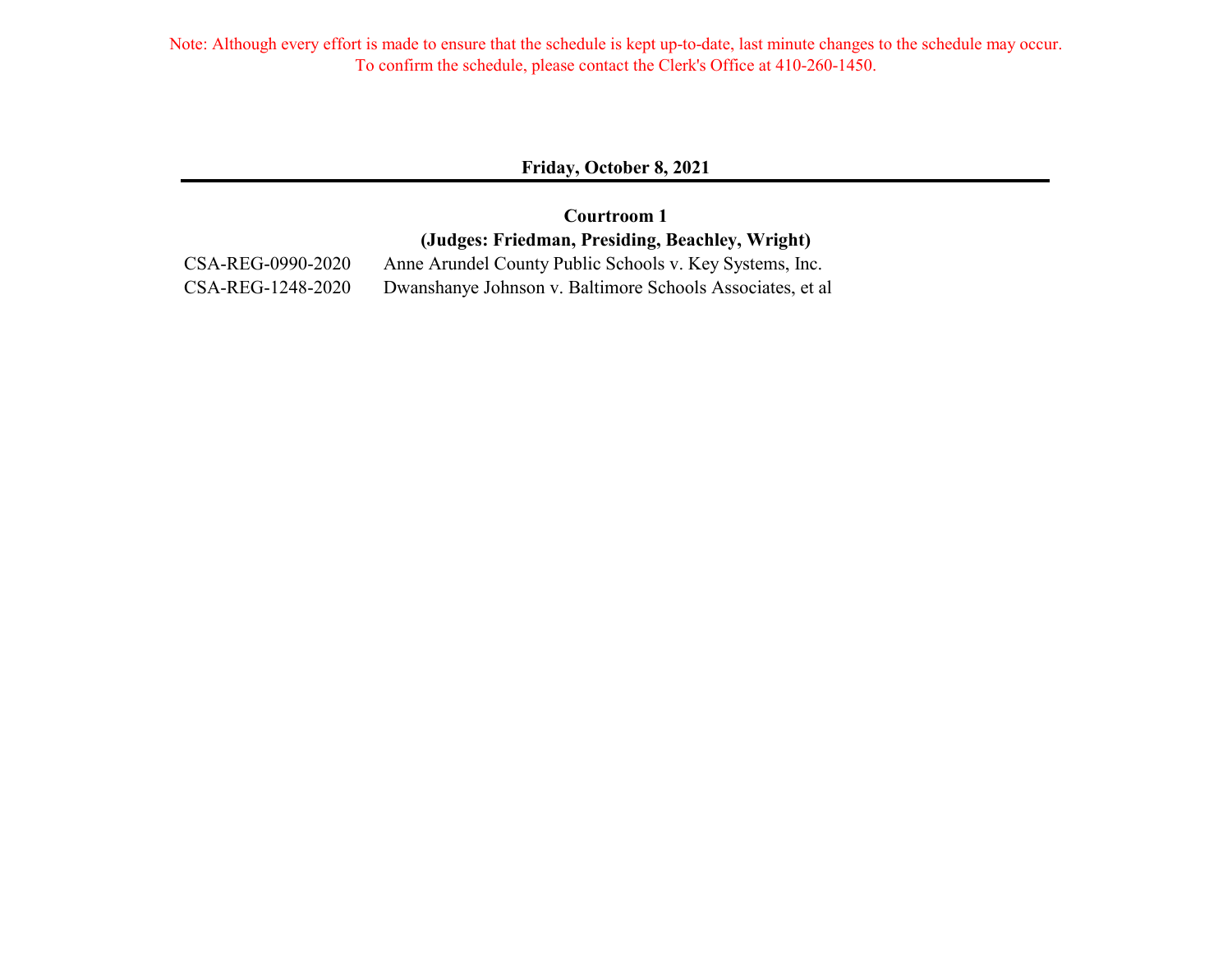**Friday, October 8, 2021**

CSA-REG-0990-2020 Anne Arundel County Public Schools v. Key Systems, Inc. **Courtroom 1 (Judges: Friedman, Presiding, Beachley, Wright)**

CSA-REG-1248-2020 Dwanshanye Johnson v. Baltimore Schools Associates, et al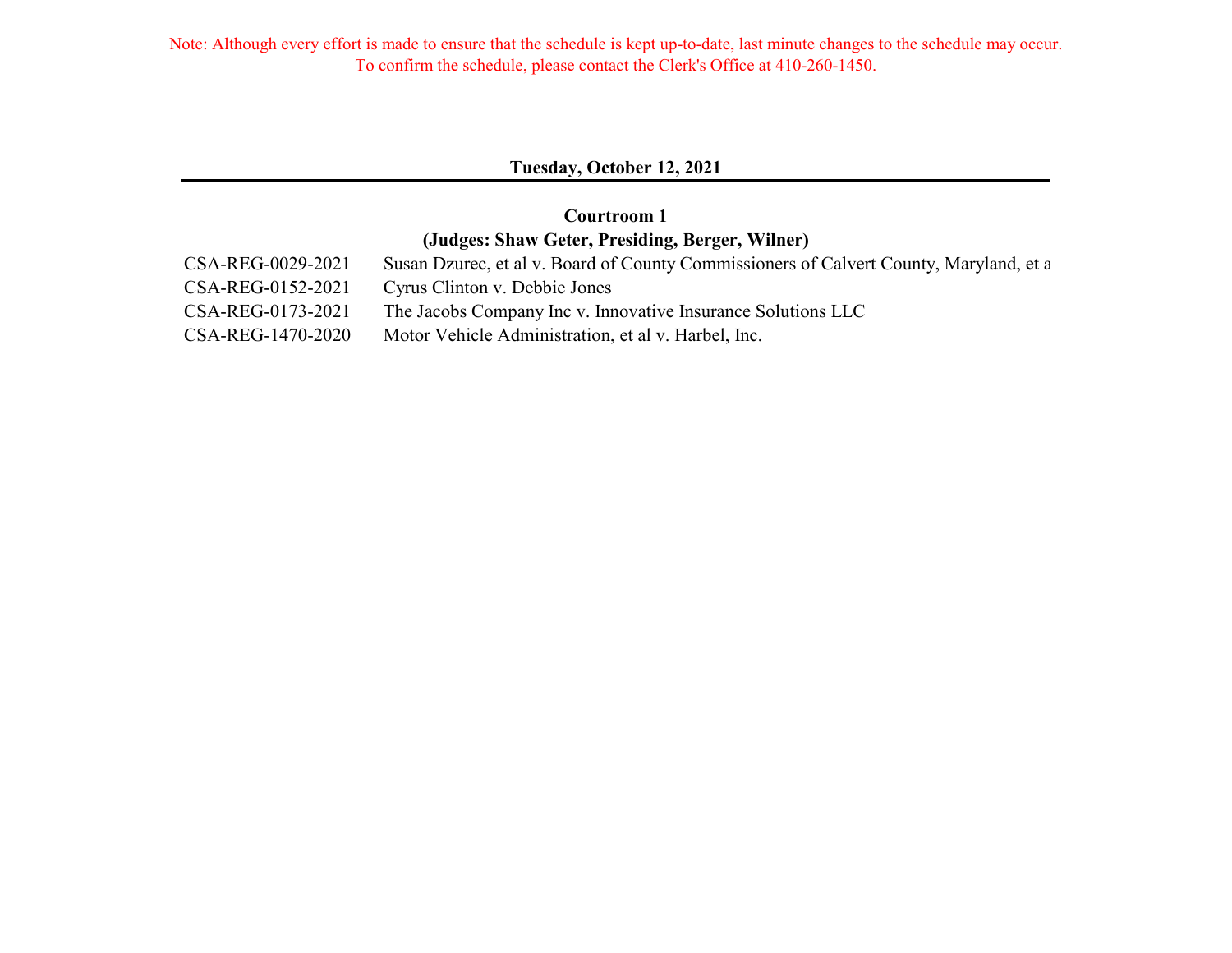### **Tuesday, October 12, 2021**

# **Courtroom 1 (Judges: Shaw Geter, Presiding, Berger, Wilner)**

| CSA-REG-0029-2021 | Susan Dzurec, et al v. Board of County Commissioners of Calvert County, Maryland, et a |
|-------------------|----------------------------------------------------------------------------------------|
| CSA-REG-0152-2021 | Cyrus Clinton v. Debbie Jones                                                          |
| CSA-REG-0173-2021 | The Jacobs Company Inc v. Innovative Insurance Solutions LLC                           |
| CSA-REG-1470-2020 | Motor Vehicle Administration, et al v. Harbel, Inc.                                    |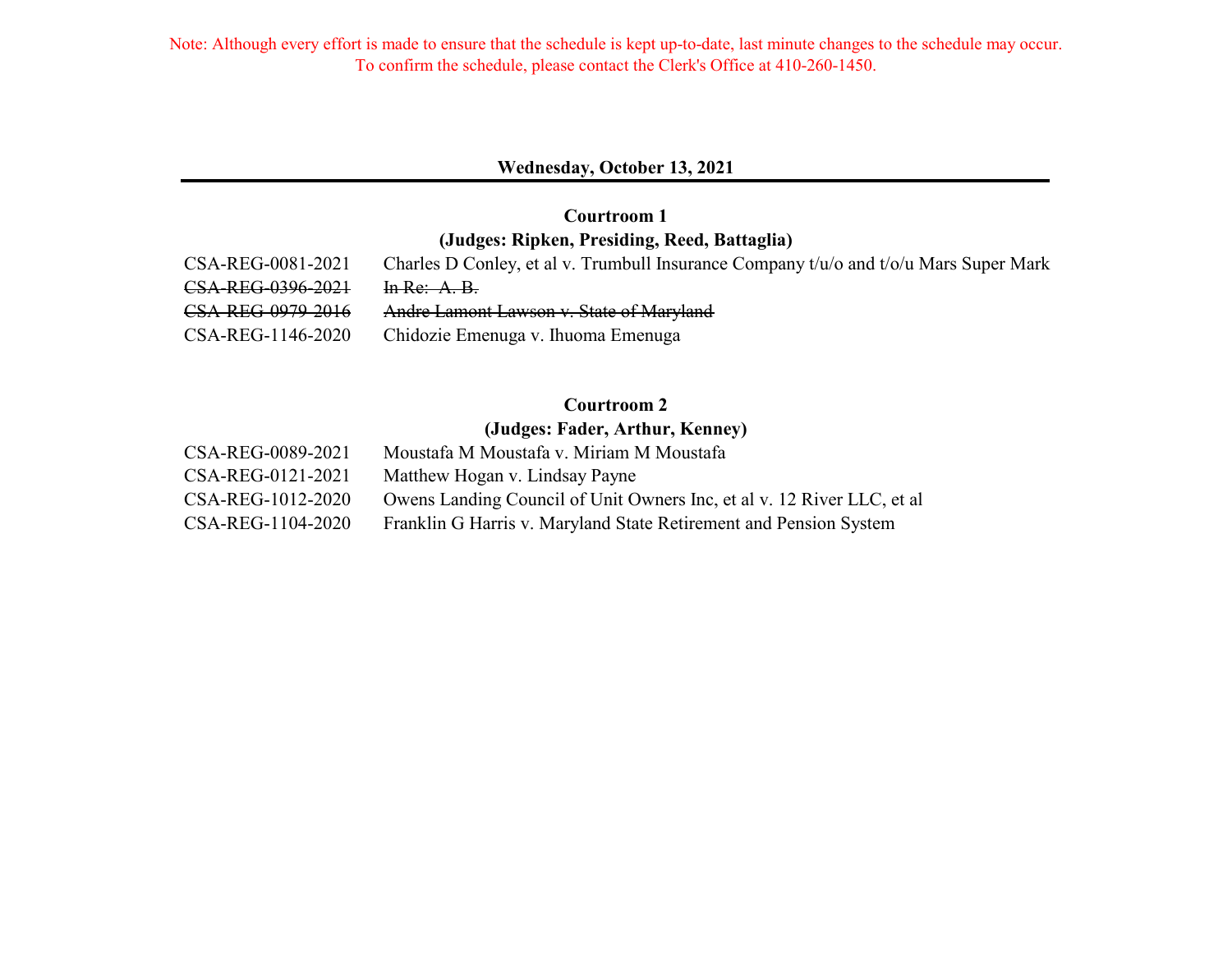### **Wednesday, October 13, 2021**

# **Courtroom 1 (Judges: Ripken, Presiding, Reed, Battaglia)**

| CSA-REG-0081-2021                | Charles D Conley, et al v. Trumbull Insurance Company $t/u$ and $t/\alpha$ Mars Super Mark |
|----------------------------------|--------------------------------------------------------------------------------------------|
| $CSA-REG-0396-2021$ In Re: A. B. |                                                                                            |
| CSA-REG-0979-2016                | Andre Lamont Lawson v. State of Maryland                                                   |
| CSA-REG-1146-2020                | Chidozie Emenuga v. Ihuoma Emenuga                                                         |

# **Courtroom 2**

### **(Judges: Fader, Arthur, Kenney)**

| CSA-REG-0089-2021 | Moustafa M Moustafa v. Miriam M Moustafa                               |
|-------------------|------------------------------------------------------------------------|
| CSA-REG-0121-2021 | Matthew Hogan v. Lindsay Payne                                         |
| CSA-REG-1012-2020 | Owens Landing Council of Unit Owners Inc, et al v. 12 River LLC, et al |
| CSA-REG-1104-2020 | Franklin G Harris v. Maryland State Retirement and Pension System      |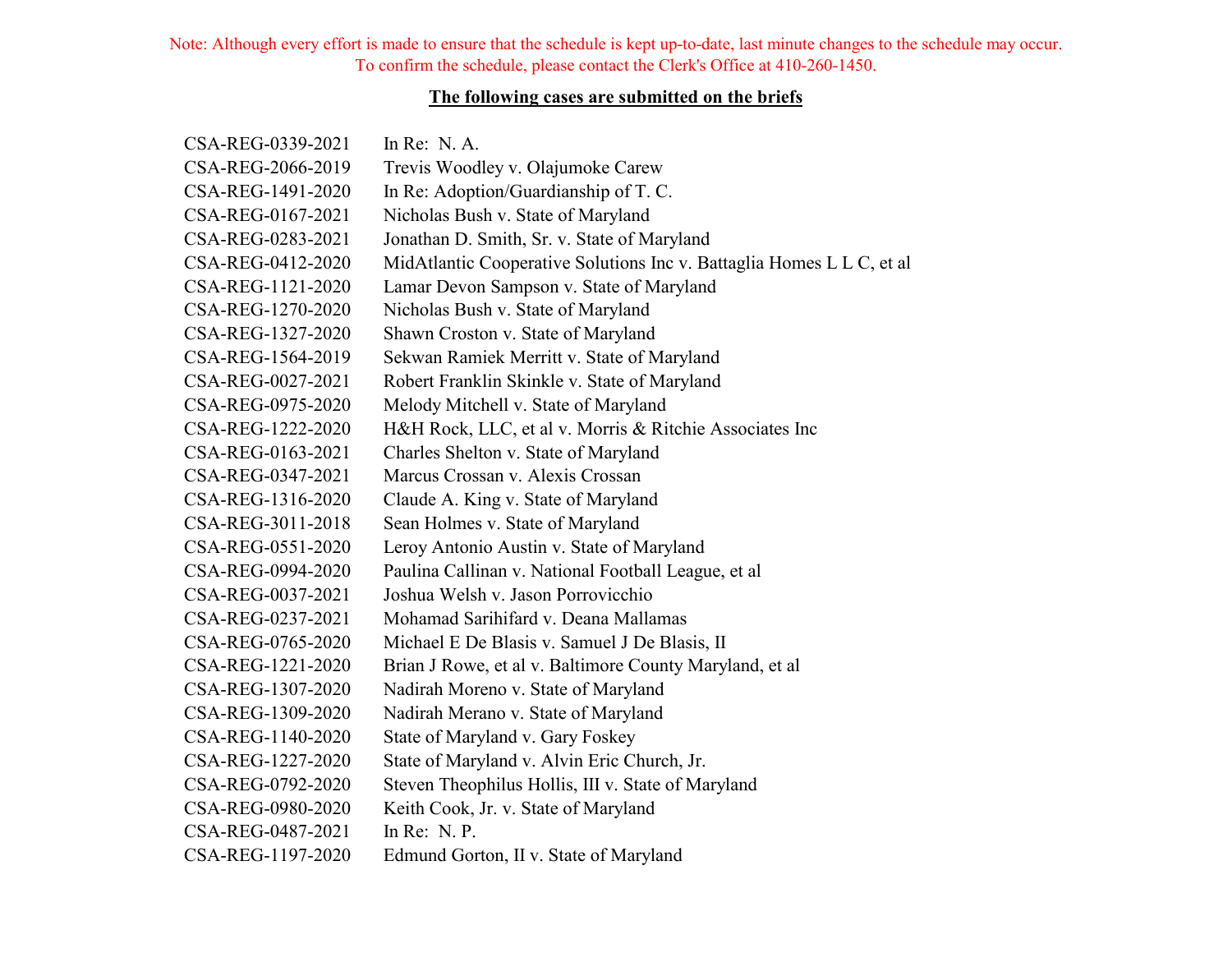### **The following cases are submitted on the briefs**

| CSA-REG-0339-2021 | In Re: $N. A.$                                                        |
|-------------------|-----------------------------------------------------------------------|
| CSA-REG-2066-2019 | Trevis Woodley v. Olajumoke Carew                                     |
| CSA-REG-1491-2020 | In Re: Adoption/Guardianship of T. C.                                 |
| CSA-REG-0167-2021 | Nicholas Bush v. State of Maryland                                    |
| CSA-REG-0283-2021 | Jonathan D. Smith, Sr. v. State of Maryland                           |
| CSA-REG-0412-2020 | MidAtlantic Cooperative Solutions Inc v. Battaglia Homes L L C, et al |
| CSA-REG-1121-2020 | Lamar Devon Sampson v. State of Maryland                              |
| CSA-REG-1270-2020 | Nicholas Bush v. State of Maryland                                    |
| CSA-REG-1327-2020 | Shawn Croston v. State of Maryland                                    |
| CSA-REG-1564-2019 | Sekwan Ramiek Merritt v. State of Maryland                            |
| CSA-REG-0027-2021 | Robert Franklin Skinkle v. State of Maryland                          |
| CSA-REG-0975-2020 | Melody Mitchell v. State of Maryland                                  |
| CSA-REG-1222-2020 | H&H Rock, LLC, et al v. Morris & Ritchie Associates Inc               |
| CSA-REG-0163-2021 | Charles Shelton v. State of Maryland                                  |
| CSA-REG-0347-2021 | Marcus Crossan v. Alexis Crossan                                      |
| CSA-REG-1316-2020 | Claude A. King v. State of Maryland                                   |
| CSA-REG-3011-2018 | Sean Holmes v. State of Maryland                                      |
| CSA-REG-0551-2020 | Leroy Antonio Austin v. State of Maryland                             |
| CSA-REG-0994-2020 | Paulina Callinan v. National Football League, et al                   |
| CSA-REG-0037-2021 | Joshua Welsh v. Jason Porrovicchio                                    |
| CSA-REG-0237-2021 | Mohamad Sarihifard v. Deana Mallamas                                  |
| CSA-REG-0765-2020 | Michael E De Blasis v. Samuel J De Blasis, II                         |
| CSA-REG-1221-2020 | Brian J Rowe, et al v. Baltimore County Maryland, et al               |
| CSA-REG-1307-2020 | Nadirah Moreno v. State of Maryland                                   |
| CSA-REG-1309-2020 | Nadirah Merano v. State of Maryland                                   |
| CSA-REG-1140-2020 | State of Maryland v. Gary Foskey                                      |
| CSA-REG-1227-2020 | State of Maryland v. Alvin Eric Church, Jr.                           |
| CSA-REG-0792-2020 | Steven Theophilus Hollis, III v. State of Maryland                    |
| CSA-REG-0980-2020 | Keith Cook, Jr. v. State of Maryland                                  |
| CSA-REG-0487-2021 | In $Re: N. P.$                                                        |
| CSA-REG-1197-2020 | Edmund Gorton, II v. State of Maryland                                |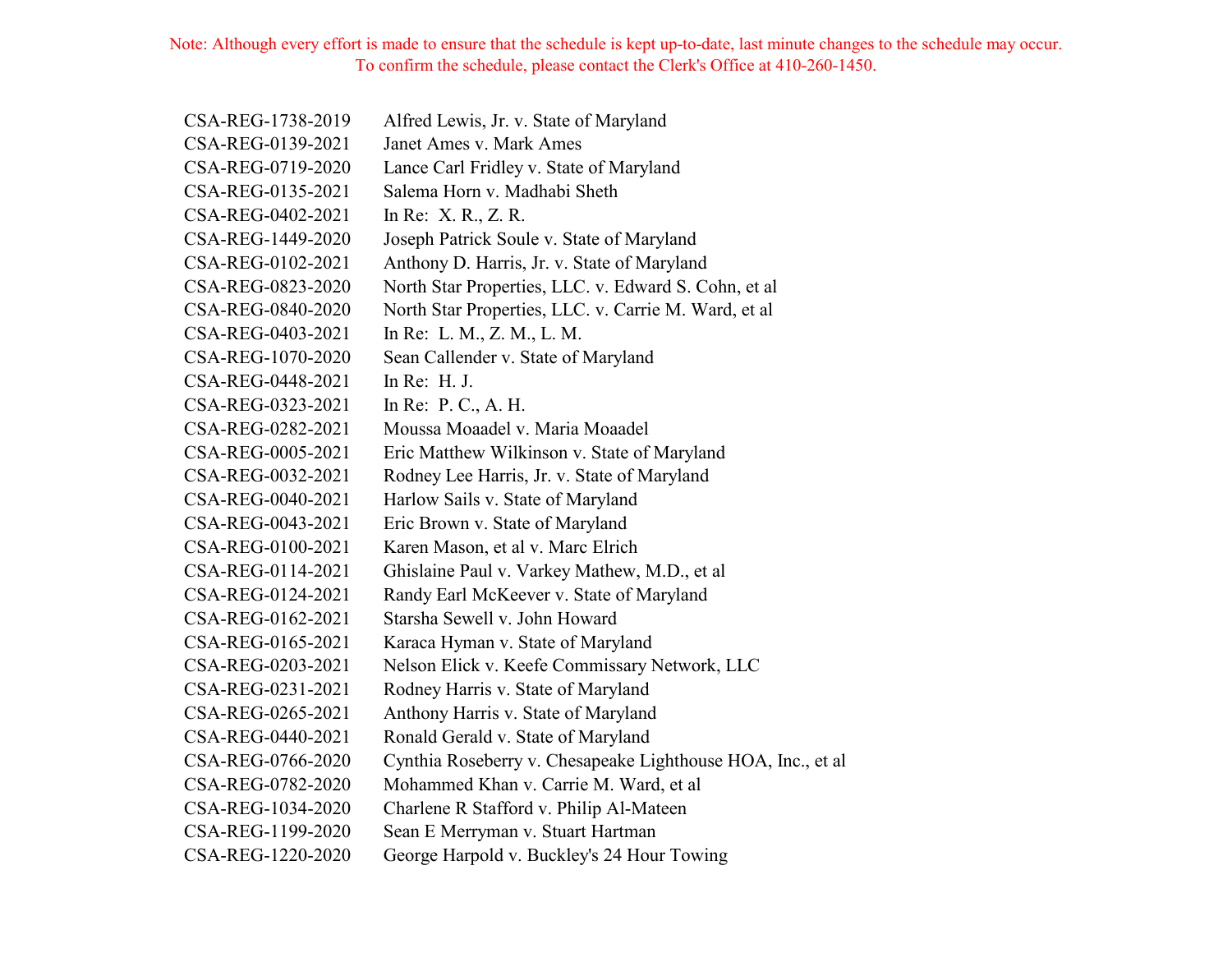| CSA-REG-1738-2019 | Alfred Lewis, Jr. v. State of Maryland                      |
|-------------------|-------------------------------------------------------------|
| CSA-REG-0139-2021 | Janet Ames v. Mark Ames                                     |
| CSA-REG-0719-2020 | Lance Carl Fridley v. State of Maryland                     |
| CSA-REG-0135-2021 | Salema Horn v. Madhabi Sheth                                |
| CSA-REG-0402-2021 | In Re: X. R., Z. R.                                         |
| CSA-REG-1449-2020 | Joseph Patrick Soule v. State of Maryland                   |
| CSA-REG-0102-2021 | Anthony D. Harris, Jr. v. State of Maryland                 |
| CSA-REG-0823-2020 | North Star Properties, LLC. v. Edward S. Cohn, et al        |
| CSA-REG-0840-2020 | North Star Properties, LLC. v. Carrie M. Ward, et al        |
| CSA-REG-0403-2021 | In Re: L. M., Z. M., L. M.                                  |
| CSA-REG-1070-2020 | Sean Callender v. State of Maryland                         |
| CSA-REG-0448-2021 | In Re: H. J.                                                |
| CSA-REG-0323-2021 | In Re: P. C., A. H.                                         |
| CSA-REG-0282-2021 | Moussa Moaadel v. Maria Moaadel                             |
| CSA-REG-0005-2021 | Eric Matthew Wilkinson v. State of Maryland                 |
| CSA-REG-0032-2021 | Rodney Lee Harris, Jr. v. State of Maryland                 |
| CSA-REG-0040-2021 | Harlow Sails v. State of Maryland                           |
| CSA-REG-0043-2021 | Eric Brown v. State of Maryland                             |
| CSA-REG-0100-2021 | Karen Mason, et al v. Marc Elrich                           |
| CSA-REG-0114-2021 | Ghislaine Paul v. Varkey Mathew, M.D., et al                |
| CSA-REG-0124-2021 | Randy Earl McKeever v. State of Maryland                    |
| CSA-REG-0162-2021 | Starsha Sewell v. John Howard                               |
| CSA-REG-0165-2021 | Karaca Hyman v. State of Maryland                           |
| CSA-REG-0203-2021 | Nelson Elick v. Keefe Commissary Network, LLC               |
| CSA-REG-0231-2021 | Rodney Harris v. State of Maryland                          |
| CSA-REG-0265-2021 | Anthony Harris v. State of Maryland                         |
| CSA-REG-0440-2021 | Ronald Gerald v. State of Maryland                          |
| CSA-REG-0766-2020 | Cynthia Roseberry v. Chesapeake Lighthouse HOA, Inc., et al |
| CSA-REG-0782-2020 | Mohammed Khan v. Carrie M. Ward, et al                      |
| CSA-REG-1034-2020 | Charlene R Stafford v. Philip Al-Mateen                     |
| CSA-REG-1199-2020 | Sean E Merryman v. Stuart Hartman                           |
| CSA-REG-1220-2020 | George Harpold v. Buckley's 24 Hour Towing                  |